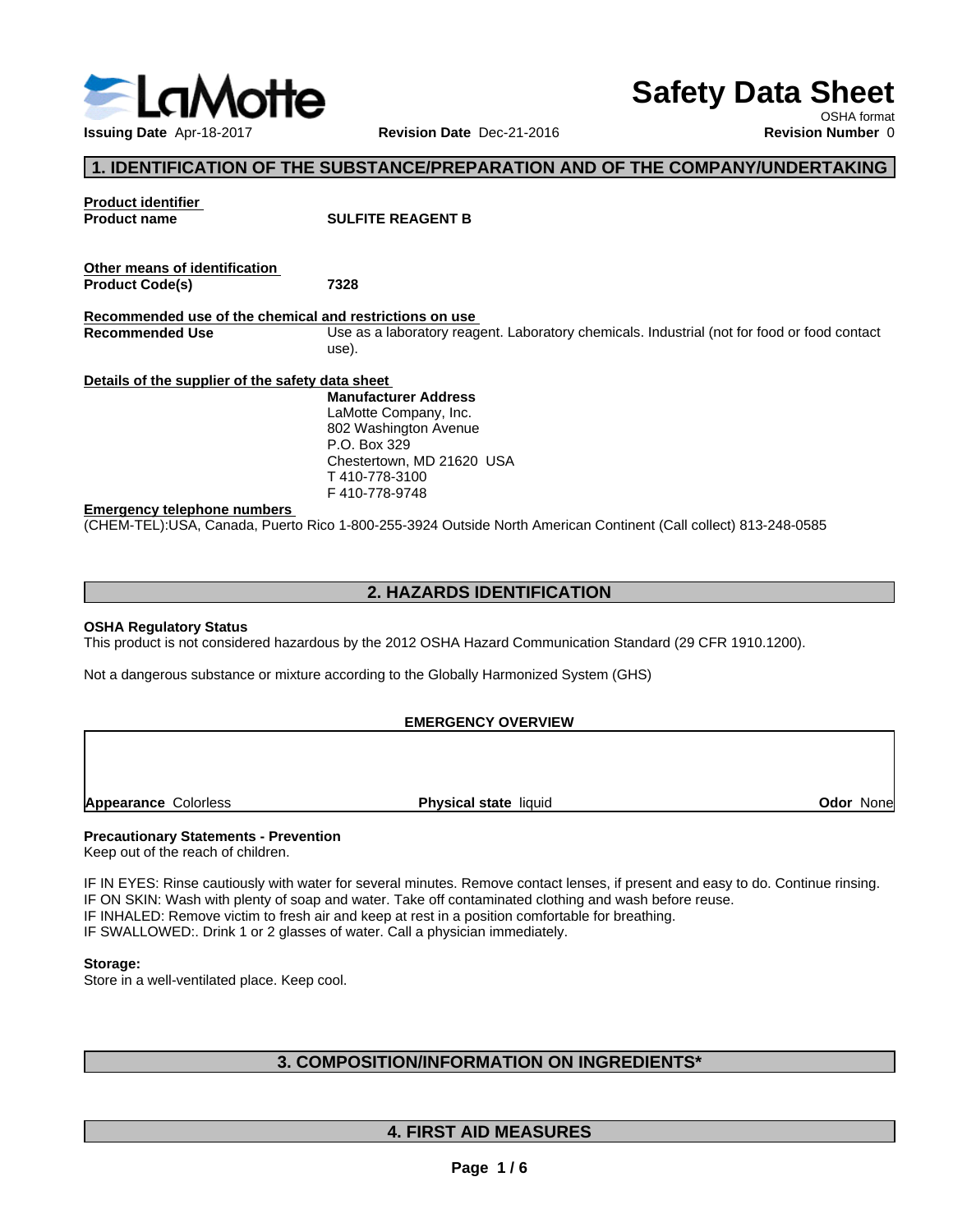

# **Safety Data Sheet**

OSHA format

# **1. IDENTIFICATION OF THE SUBSTANCE/PREPARATION AND OF THE COMPANY/UNDERTAKING**

| <b>Product identifier</b><br><b>Product name</b>        | <b>SULFITE REAGENT B</b>                                                                                        |
|---------------------------------------------------------|-----------------------------------------------------------------------------------------------------------------|
| Other means of identification<br><b>Product Code(s)</b> | 7328                                                                                                            |
| Recommended use of the chemical and restrictions on use |                                                                                                                 |
| <b>Recommended Use</b>                                  | Use as a laboratory reagent. Laboratory chemicals. Industrial (not for food or food contact<br>use).            |
| Details of the supplier of the safety data sheet        |                                                                                                                 |
|                                                         | <b>Manufacturer Address</b>                                                                                     |
|                                                         | LaMotte Company, Inc.                                                                                           |
|                                                         | 802 Washington Avenue                                                                                           |
|                                                         | P.O. Box 329                                                                                                    |
|                                                         | Chestertown, MD 21620 USA                                                                                       |
|                                                         | T 410-778-3100                                                                                                  |
|                                                         | F410-778-9748                                                                                                   |
| <b>Emergency telephone numbers</b>                      |                                                                                                                 |
|                                                         | (CHEM-TEL):USA, Canada, Puerto Rico 1-800-255-3924 Outside North American Continent (Call collect) 813-248-0585 |

# **2. HAZARDS IDENTIFICATION**

#### **OSHA Regulatory Status**

This product is not considered hazardous by the 2012 OSHA Hazard Communication Standard (29 CFR 1910.1200).

Not a dangerous substance or mixture according to the Globally Harmonized System (GHS)

#### **EMERGENCY OVERVIEW**

**Appearance Colorless <b>Physical state** liquid

**Odor** None

#### **Precautionary Statements - Prevention**

Keep out of the reach of children.

IF IN EYES: Rinse cautiously with water for several minutes. Remove contact lenses, if present and easy to do. Continue rinsing. IF ON SKIN: Wash with plenty of soap and water. Take off contaminated clothing and wash before reuse. IF INHALED: Remove victim to fresh air and keep at rest in a position comfortable for breathing. IF SWALLOWED:. Drink 1 or 2 glasses of water. Call a physician immediately.

#### **Storage:**

Store in a well-ventilated place. Keep cool.

## **3. COMPOSITION/INFORMATION ON INGREDIENTS\***

# **4. FIRST AID MEASURES**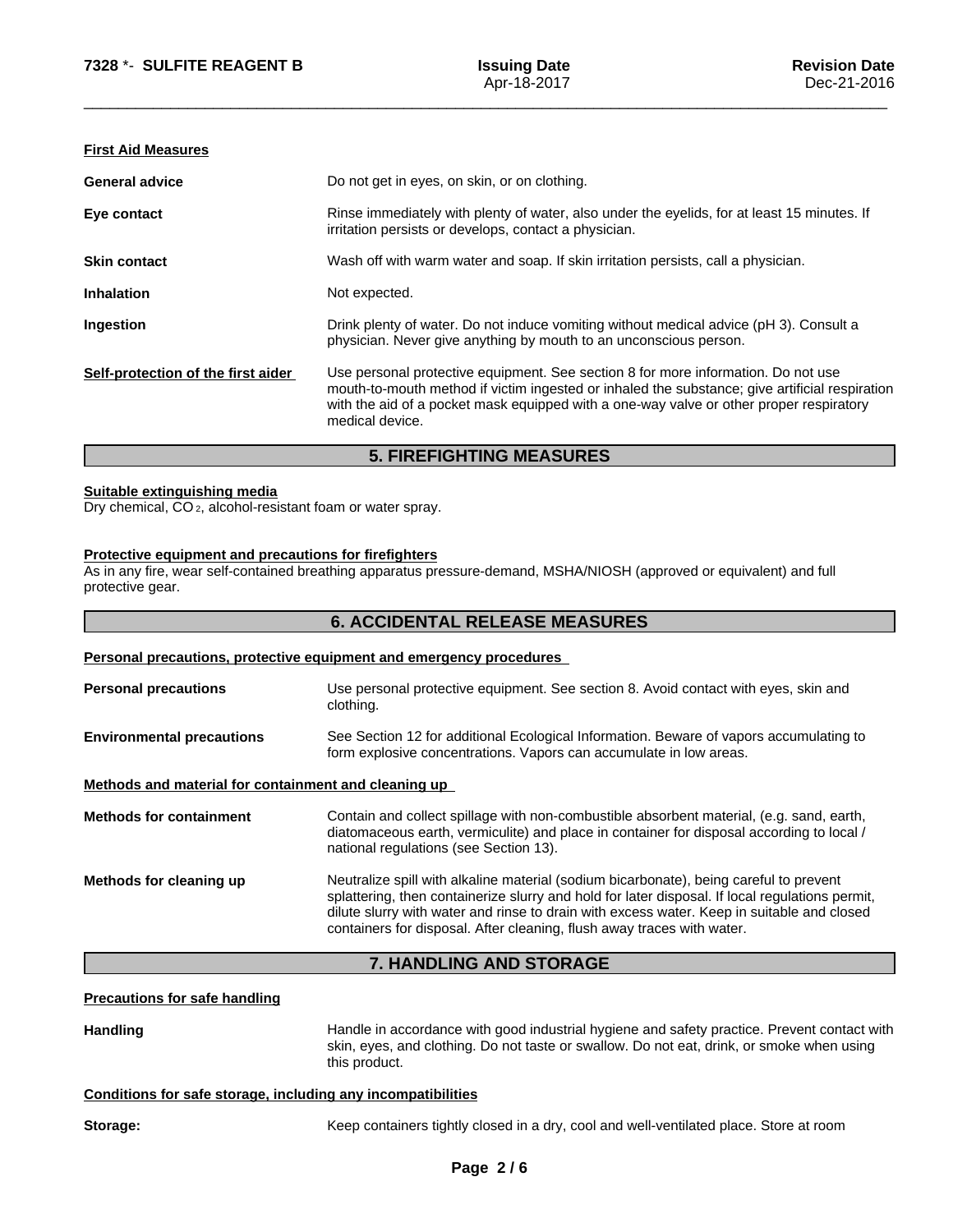## **First Aid Measures**

|                                    | <b>5. FIREFIGHTING MEASURES</b>                                                                                                                                                                                                                                                                   |
|------------------------------------|---------------------------------------------------------------------------------------------------------------------------------------------------------------------------------------------------------------------------------------------------------------------------------------------------|
| Self-protection of the first aider | Use personal protective equipment. See section 8 for more information. Do not use<br>mouth-to-mouth method if victim ingested or inhaled the substance; give artificial respiration<br>with the aid of a pocket mask equipped with a one-way valve or other proper respiratory<br>medical device. |
| Ingestion                          | Drink plenty of water. Do not induce vomiting without medical advice (pH 3). Consult a<br>physician. Never give anything by mouth to an unconscious person.                                                                                                                                       |
| <b>Inhalation</b>                  | Not expected.                                                                                                                                                                                                                                                                                     |
| <b>Skin contact</b>                | Wash off with warm water and soap. If skin irritation persists, call a physician.                                                                                                                                                                                                                 |
| Eye contact                        | Rinse immediately with plenty of water, also under the eyelids, for at least 15 minutes. If<br>irritation persists or develops, contact a physician.                                                                                                                                              |
| <b>General advice</b>              | Do not get in eyes, on skin, or on clothing.                                                                                                                                                                                                                                                      |
|                                    |                                                                                                                                                                                                                                                                                                   |

#### **Suitable extinguishing media**

Dry chemical, CO 2, alcohol-resistant foam or water spray.

# **Protective equipment and precautions for firefighters**

As in any fire, wear self-contained breathing apparatus pressure-demand, MSHA/NIOSH (approved or equivalent) and full protective gear.

|                                                      | <b>6. ACCIDENTAL RELEASE MEASURES</b>                                                                                                                                                                                                                                                                                                                             |
|------------------------------------------------------|-------------------------------------------------------------------------------------------------------------------------------------------------------------------------------------------------------------------------------------------------------------------------------------------------------------------------------------------------------------------|
|                                                      | Personal precautions, protective equipment and emergency procedures                                                                                                                                                                                                                                                                                               |
| <b>Personal precautions</b>                          | Use personal protective equipment. See section 8. Avoid contact with eyes, skin and<br>clothing.                                                                                                                                                                                                                                                                  |
| <b>Environmental precautions</b>                     | See Section 12 for additional Ecological Information. Beware of vapors accumulating to<br>form explosive concentrations. Vapors can accumulate in low areas.                                                                                                                                                                                                      |
| Methods and material for containment and cleaning up |                                                                                                                                                                                                                                                                                                                                                                   |
| <b>Methods for containment</b>                       | Contain and collect spillage with non-combustible absorbent material, (e.g. sand, earth,<br>diatomaceous earth, vermiculite) and place in container for disposal according to local /<br>national regulations (see Section 13).                                                                                                                                   |
| Methods for cleaning up                              | Neutralize spill with alkaline material (sodium bicarbonate), being careful to prevent<br>splattering, then containerize slurry and hold for later disposal. If local regulations permit,<br>dilute slurry with water and rinse to drain with excess water. Keep in suitable and closed<br>containers for disposal. After cleaning, flush away traces with water. |
|                                                      | 7. HANDLING AND STORAGE                                                                                                                                                                                                                                                                                                                                           |
| <b>Precautions for safe handling</b>                 |                                                                                                                                                                                                                                                                                                                                                                   |
| <b>Handling</b>                                      | Handle in accordance with good industrial hygiene and safety practice. Prevent contact with<br>skin, eyes, and clothing. Do not taste or swallow. Do not eat, drink, or smoke when using                                                                                                                                                                          |

## **Conditions for safe storage, including any incompatibilities**

this product.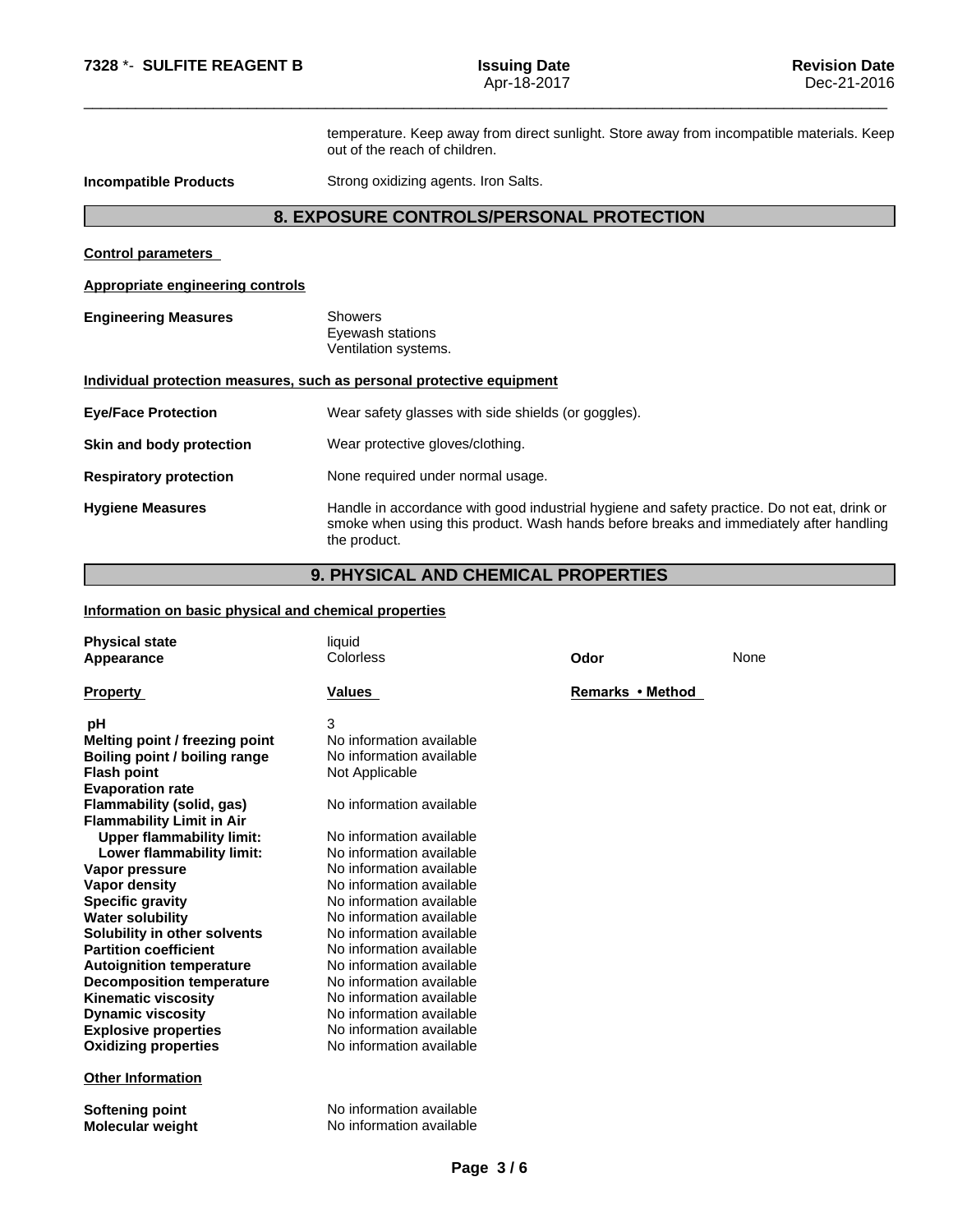temperature. Keep away from direct sunlight. Store away from incompatible materials. Keep out of the reach of children.

**Incompatible Products** Strong oxidizing agents. Iron Salts.

# **8. EXPOSURE CONTROLS/PERSONAL PROTECTION**

**Control parameters**

**Appropriate engineering controls**

**Engineering Measures** Showers Eyewash stations Ventilation systems.

#### **Individual protection measures, such as personal protective equipment**

| <b>Eye/Face Protection</b>    | Wear safety glasses with side shields (or goggles).                                                                                                                                                   |
|-------------------------------|-------------------------------------------------------------------------------------------------------------------------------------------------------------------------------------------------------|
| Skin and body protection      | Wear protective gloves/clothing.                                                                                                                                                                      |
| <b>Respiratory protection</b> | None required under normal usage.                                                                                                                                                                     |
| <b>Hygiene Measures</b>       | Handle in accordance with good industrial hygiene and safety practice. Do not eat, drink or<br>smoke when using this product. Wash hands before breaks and immediately after handling<br>the product. |

# **9. PHYSICAL AND CHEMICAL PROPERTIES**

#### **Information on basic physical and chemical properties**

| <b>Physical state</b><br>Appearance | liquid<br>Colorless      | Odor             | None |
|-------------------------------------|--------------------------|------------------|------|
| <b>Property</b>                     | Values                   | Remarks • Method |      |
| рH                                  | 3                        |                  |      |
| Melting point / freezing point      | No information available |                  |      |
| Boiling point / boiling range       | No information available |                  |      |
| <b>Flash point</b>                  | Not Applicable           |                  |      |
| <b>Evaporation rate</b>             |                          |                  |      |
| Flammability (solid, gas)           | No information available |                  |      |
| <b>Flammability Limit in Air</b>    |                          |                  |      |
| <b>Upper flammability limit:</b>    | No information available |                  |      |
| Lower flammability limit:           | No information available |                  |      |
| Vapor pressure                      | No information available |                  |      |
| <b>Vapor density</b>                | No information available |                  |      |
| <b>Specific gravity</b>             | No information available |                  |      |
| <b>Water solubility</b>             | No information available |                  |      |
| Solubility in other solvents        | No information available |                  |      |
| <b>Partition coefficient</b>        | No information available |                  |      |
| <b>Autoignition temperature</b>     | No information available |                  |      |
| <b>Decomposition temperature</b>    | No information available |                  |      |
| <b>Kinematic viscosity</b>          | No information available |                  |      |
| <b>Dynamic viscosity</b>            | No information available |                  |      |
| <b>Explosive properties</b>         | No information available |                  |      |
| <b>Oxidizing properties</b>         | No information available |                  |      |
| <b>Other Information</b>            |                          |                  |      |
| Softening point                     | No information available |                  |      |
| <b>Molecular weight</b>             | No information available |                  |      |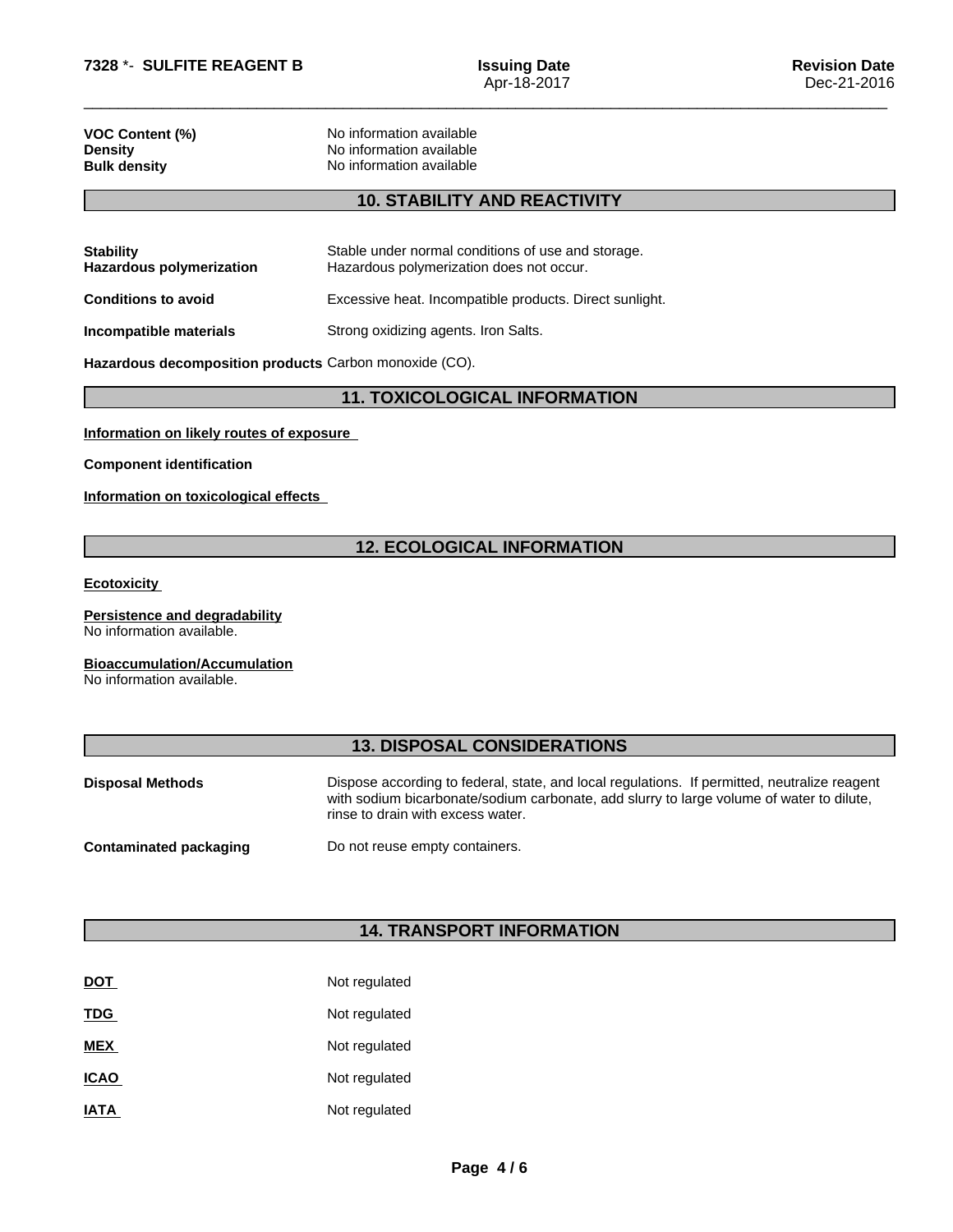| <b>VOC Content (%)</b> |  |
|------------------------|--|
| <b>Density</b>         |  |
| <b>Bulk density</b>    |  |

**No information available No information available No information available** 

# **10. STABILITY AND REACTIVITY**

| Stable under normal conditions of use and storage.<br>Hazardous polymerization does not occur. |
|------------------------------------------------------------------------------------------------|
| Excessive heat. Incompatible products. Direct sunlight.                                        |
| Strong oxidizing agents. Iron Salts.                                                           |
|                                                                                                |

**Hazardous decomposition products** Carbon monoxide (CO).

## **11. TOXICOLOGICAL INFORMATION**

## **Information on likely routes of exposure**

**Component identification**

**Information on toxicological effects**

## **12. ECOLOGICAL INFORMATION**

#### **Ecotoxicity**

**Persistence and degradability** No information available.

## **Bioaccumulation/Accumulation**

No information available.

## **13. DISPOSAL CONSIDERATIONS**

| <b>Disposal Methods</b> | Dispose according to federal, state, and local regulations. If permitted, neutralize reagent<br>with sodium bicarbonate/sodium carbonate, add slurry to large volume of water to dilute,<br>rinse to drain with excess water. |
|-------------------------|-------------------------------------------------------------------------------------------------------------------------------------------------------------------------------------------------------------------------------|
| Contaminated packaging  | Do not reuse empty containers.                                                                                                                                                                                                |

# **14. TRANSPORT INFORMATION**

| <b>DOT</b>  | Not regulated |
|-------------|---------------|
| <b>TDG</b>  | Not regulated |
| <b>MEX</b>  | Not regulated |
| <b>ICAO</b> | Not regulated |
| <b>IATA</b> | Not regulated |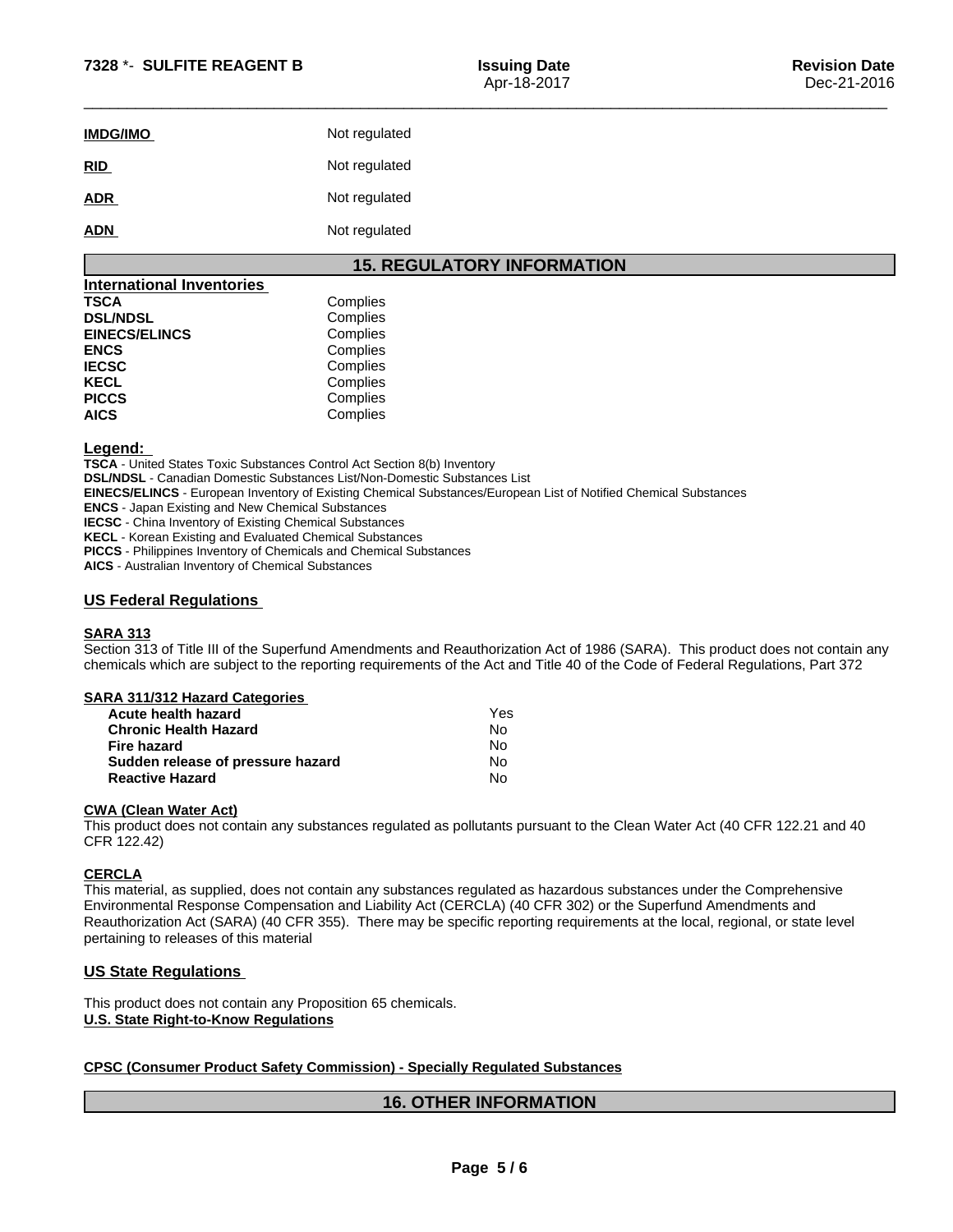| <b>IMDG/IMO</b> | Not regulated |
|-----------------|---------------|
| RID             | Not regulated |
| <b>ADR</b>      | Not regulated |
| <b>ADN</b>      | Not regulated |

# **15. REGULATORY INFORMATION**

| <b>International Inventories</b> |          |  |
|----------------------------------|----------|--|
| <b>TSCA</b>                      | Complies |  |
| <b>DSL/NDSL</b>                  | Complies |  |
| <b>EINECS/ELINCS</b>             | Complies |  |
| <b>ENCS</b>                      | Complies |  |
| <b>IECSC</b>                     | Complies |  |
| <b>KECL</b>                      | Complies |  |
| <b>PICCS</b>                     | Complies |  |
| <b>AICS</b>                      | Complies |  |

#### **Legend:**

**TSCA** - United States Toxic Substances Control Act Section 8(b) Inventory **DSL/NDSL** - Canadian Domestic Substances List/Non-Domestic Substances List **EINECS/ELINCS** - European Inventory of Existing Chemical Substances/European List of Notified Chemical Substances **ENCS** - Japan Existing and New Chemical Substances **IECSC** - China Inventory of Existing Chemical Substances **KECL** - Korean Existing and Evaluated Chemical Substances **PICCS** - Philippines Inventory of Chemicals and Chemical Substances

**AICS** - Australian Inventory of Chemical Substances

## **US Federal Regulations**

## **SARA 313**

Section 313 of Title III of the Superfund Amendments and Reauthorization Act of 1986 (SARA). This product does not contain any chemicals which are subject to the reporting requirements of the Act and Title 40 of the Code of Federal Regulations, Part 372

|  |  | <b>SARA 311/312 Hazard Categories</b> |  |
|--|--|---------------------------------------|--|
|--|--|---------------------------------------|--|

| Acute health hazard               | Yes |  |
|-----------------------------------|-----|--|
| <b>Chronic Health Hazard</b>      | No  |  |
| Fire hazard                       | No  |  |
| Sudden release of pressure hazard | No  |  |
| <b>Reactive Hazard</b>            | Nο  |  |

#### **CWA** (Clean Water Act)

This product does not contain any substances regulated as pollutants pursuant to the Clean Water Act (40 CFR 122.21 and 40 CFR 122.42)

#### **CERCLA**

This material, as supplied, does not contain any substances regulated as hazardous substances under the Comprehensive Environmental Response Compensation and Liability Act (CERCLA) (40 CFR 302) or the Superfund Amendments and Reauthorization Act (SARA) (40 CFR 355). There may be specific reporting requirements at the local, regional, or state level pertaining to releases of this material

## **US State Regulations**

This product does not contain any Proposition 65 chemicals. **U.S. State Right-to-Know Regulations**

#### **CPSC (Consumer Product Safety Commission) - Specially Regulated Substances**

## **16. OTHER INFORMATION**